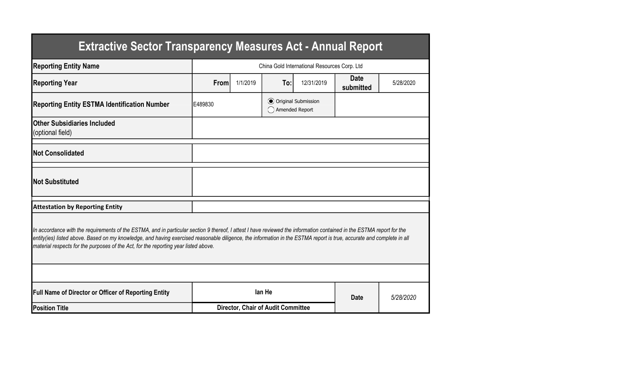| <b>Extractive Sector Transparency Measures Act - Annual Report</b>                                                                                                                                                                                                                                                                                                                                                                    |         |                                              |                                                  |            |                          |           |  |  |  |
|---------------------------------------------------------------------------------------------------------------------------------------------------------------------------------------------------------------------------------------------------------------------------------------------------------------------------------------------------------------------------------------------------------------------------------------|---------|----------------------------------------------|--------------------------------------------------|------------|--------------------------|-----------|--|--|--|
| <b>Reporting Entity Name</b>                                                                                                                                                                                                                                                                                                                                                                                                          |         | China Gold International Resources Corp. Ltd |                                                  |            |                          |           |  |  |  |
| <b>Reporting Year</b>                                                                                                                                                                                                                                                                                                                                                                                                                 | From    | 1/1/2019                                     | To:                                              | 12/31/2019 | <b>Date</b><br>submitted | 5/28/2020 |  |  |  |
| <b>Reporting Entity ESTMA Identification Number</b>                                                                                                                                                                                                                                                                                                                                                                                   | E489830 |                                              | <b>⊙</b> Original Submission<br>◯ Amended Report |            |                          |           |  |  |  |
| <b>Other Subsidiaries Included</b><br>(optional field)                                                                                                                                                                                                                                                                                                                                                                                |         |                                              |                                                  |            |                          |           |  |  |  |
| <b>Not Consolidated</b>                                                                                                                                                                                                                                                                                                                                                                                                               |         |                                              |                                                  |            |                          |           |  |  |  |
| <b>INot Substituted</b>                                                                                                                                                                                                                                                                                                                                                                                                               |         |                                              |                                                  |            |                          |           |  |  |  |
| <b>Attestation by Reporting Entity</b>                                                                                                                                                                                                                                                                                                                                                                                                |         |                                              |                                                  |            |                          |           |  |  |  |
| In accordance with the requirements of the ESTMA, and in particular section 9 thereof, I attest I have reviewed the information contained in the ESTMA report for the<br>entity(ies) listed above. Based on my knowledge, and having exercised reasonable diligence, the information in the ESTMA report is true, accurate and complete in all<br>material respects for the purposes of the Act, for the reporting year listed above. |         |                                              |                                                  |            |                          |           |  |  |  |
|                                                                                                                                                                                                                                                                                                                                                                                                                                       |         |                                              |                                                  |            |                          |           |  |  |  |
| <b>Full Name of Director or Officer of Reporting Entity</b>                                                                                                                                                                                                                                                                                                                                                                           |         |                                              | lan He                                           |            | <b>Date</b>              | 5/28/2020 |  |  |  |
| <b>Position Title</b>                                                                                                                                                                                                                                                                                                                                                                                                                 |         | <b>Director, Chair of Audit Committee</b>    |                                                  |            |                          |           |  |  |  |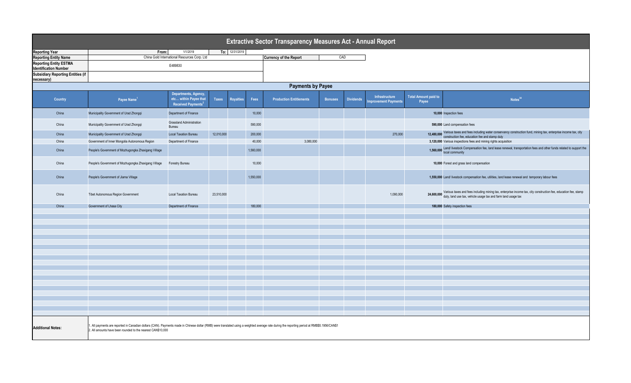| <b>Extractive Sector Transparency Measures Act - Annual Report</b> |                                                                                                                                                                                                                                                             |                                                                                 |            |                  |           |                                      |                |                  |                                       |                                      |                                                                                                                                                                                          |  |
|--------------------------------------------------------------------|-------------------------------------------------------------------------------------------------------------------------------------------------------------------------------------------------------------------------------------------------------------|---------------------------------------------------------------------------------|------------|------------------|-----------|--------------------------------------|----------------|------------------|---------------------------------------|--------------------------------------|------------------------------------------------------------------------------------------------------------------------------------------------------------------------------------------|--|
| <b>Reporting Year</b>                                              | From:                                                                                                                                                                                                                                                       | To: 12/31/2019                                                                  |            |                  |           |                                      |                |                  |                                       |                                      |                                                                                                                                                                                          |  |
| <b>Reporting Entity Name</b>                                       |                                                                                                                                                                                                                                                             | 1/1/2019<br>China Gold International Resources Corp. Ltd                        |            |                  |           | CAD<br><b>Currency of the Report</b> |                |                  |                                       |                                      |                                                                                                                                                                                          |  |
| <b>Reporting Entity ESTMA</b>                                      |                                                                                                                                                                                                                                                             |                                                                                 |            |                  |           |                                      |                |                  |                                       |                                      |                                                                                                                                                                                          |  |
| <b>Identification Number</b>                                       |                                                                                                                                                                                                                                                             | E489830                                                                         |            |                  |           |                                      |                |                  |                                       |                                      |                                                                                                                                                                                          |  |
| <b>Subsidiary Reporting Entities (if</b>                           |                                                                                                                                                                                                                                                             |                                                                                 |            |                  |           |                                      |                |                  |                                       |                                      |                                                                                                                                                                                          |  |
| necessary)                                                         |                                                                                                                                                                                                                                                             |                                                                                 |            |                  |           |                                      |                |                  |                                       |                                      |                                                                                                                                                                                          |  |
|                                                                    |                                                                                                                                                                                                                                                             |                                                                                 |            |                  |           |                                      |                |                  |                                       |                                      |                                                                                                                                                                                          |  |
| <b>Payments by Payee</b>                                           |                                                                                                                                                                                                                                                             |                                                                                 |            |                  |           |                                      |                |                  |                                       |                                      |                                                                                                                                                                                          |  |
| Country                                                            | Payee Name <sup>1</sup>                                                                                                                                                                                                                                     | Departments, Agency,<br>etc within Payee that<br>Received Payments <sup>2</sup> | Taxes      | <b>Royalties</b> | Fees      | <b>Production Entitlements</b>       | <b>Bonuses</b> | <b>Dividends</b> | Infrastructure<br>mprovement Payments | <b>Total Amount paid to</b><br>Payee | Notes <sup>34</sup>                                                                                                                                                                      |  |
| China                                                              | Municipality Government of Urad Zhongqi                                                                                                                                                                                                                     | Department of Finance                                                           |            |                  | 10,000    |                                      |                |                  |                                       |                                      | 10,000 Inspection fees                                                                                                                                                                   |  |
| China                                                              | Municipality Government of Urad Zhongqi                                                                                                                                                                                                                     | <b>Grassland Administration</b><br>Bureau                                       |            |                  | 590,000   |                                      |                |                  |                                       |                                      | 590,000 Land compensation fees                                                                                                                                                           |  |
| China                                                              | Municipality Government of Urad Zhongqi                                                                                                                                                                                                                     | <b>Local Taxation Bureau</b>                                                    | 12,010,000 |                  | 200,000   |                                      |                |                  | 270,000                               |                                      | 12,480,000 Various taxes and fees including water conservancy construction fund, mining tax, enterprise income tax, city<br>12,480,000 construction fee, education fee and stamp duty    |  |
| China                                                              | Government of Inner Mongolia Autonomous Region                                                                                                                                                                                                              | Department of Finance                                                           |            |                  | 40,000    | 3,080,000                            |                |                  |                                       |                                      | 3,120,000 Various inspections fees and mining rights acquisition                                                                                                                         |  |
|                                                                    |                                                                                                                                                                                                                                                             |                                                                                 |            |                  |           |                                      |                |                  |                                       |                                      |                                                                                                                                                                                          |  |
| China                                                              | People's Government of Mozhugongka Zhaxigang Village                                                                                                                                                                                                        |                                                                                 |            |                  | 1,560,000 |                                      |                |                  |                                       |                                      | 1,560,000 Land/ livestock Compensation fee, land lease renewal, transportation fees and other funds related to support the<br>local community                                            |  |
| China                                                              | People's Government of Mozhugongka Zhaxigang Village                                                                                                                                                                                                        | Forestry Bureau                                                                 |            |                  | 10,000    |                                      |                |                  |                                       |                                      | 10,000 Forest and grass land compensation                                                                                                                                                |  |
| China                                                              | People's Government of Jiama Village                                                                                                                                                                                                                        |                                                                                 |            |                  | 1,550,000 |                                      |                |                  |                                       |                                      | 1,550,000 Land/ livestock compensation fee, utilities, land lease renewal and temporary labour fees                                                                                      |  |
| China                                                              | Tibet Autonomous Region Government                                                                                                                                                                                                                          | <b>Local Taxation Bureau</b>                                                    | 23,510,000 |                  |           |                                      |                |                  | 1,090,000                             |                                      | 24,600,000 Various taxes and fees including mining tax, enterprise income tax, city construction fee, education fee, stamp duty, land use tax, vehicle usage tax and farm land usage tax |  |
| China                                                              | Government of Lhasa City                                                                                                                                                                                                                                    | Department of Finance                                                           |            |                  | 180,000   |                                      |                |                  |                                       |                                      | 180,000 Safety inspection fees                                                                                                                                                           |  |
|                                                                    |                                                                                                                                                                                                                                                             |                                                                                 |            |                  |           |                                      |                |                  |                                       |                                      |                                                                                                                                                                                          |  |
|                                                                    |                                                                                                                                                                                                                                                             |                                                                                 |            |                  |           |                                      |                |                  |                                       |                                      |                                                                                                                                                                                          |  |
|                                                                    |                                                                                                                                                                                                                                                             |                                                                                 |            |                  |           |                                      |                |                  |                                       |                                      |                                                                                                                                                                                          |  |
|                                                                    |                                                                                                                                                                                                                                                             |                                                                                 |            |                  |           |                                      |                |                  |                                       |                                      |                                                                                                                                                                                          |  |
|                                                                    |                                                                                                                                                                                                                                                             |                                                                                 |            |                  |           |                                      |                |                  |                                       |                                      |                                                                                                                                                                                          |  |
|                                                                    |                                                                                                                                                                                                                                                             |                                                                                 |            |                  |           |                                      |                |                  |                                       |                                      |                                                                                                                                                                                          |  |
|                                                                    |                                                                                                                                                                                                                                                             |                                                                                 |            |                  |           |                                      |                |                  |                                       |                                      |                                                                                                                                                                                          |  |
|                                                                    |                                                                                                                                                                                                                                                             |                                                                                 |            |                  |           |                                      |                |                  |                                       |                                      |                                                                                                                                                                                          |  |
|                                                                    |                                                                                                                                                                                                                                                             |                                                                                 |            |                  |           |                                      |                |                  |                                       |                                      |                                                                                                                                                                                          |  |
|                                                                    |                                                                                                                                                                                                                                                             |                                                                                 |            |                  |           |                                      |                |                  |                                       |                                      |                                                                                                                                                                                          |  |
|                                                                    |                                                                                                                                                                                                                                                             |                                                                                 |            |                  |           |                                      |                |                  |                                       |                                      |                                                                                                                                                                                          |  |
|                                                                    |                                                                                                                                                                                                                                                             |                                                                                 |            |                  |           |                                      |                |                  |                                       |                                      |                                                                                                                                                                                          |  |
|                                                                    |                                                                                                                                                                                                                                                             |                                                                                 |            |                  |           |                                      |                |                  |                                       |                                      |                                                                                                                                                                                          |  |
|                                                                    |                                                                                                                                                                                                                                                             |                                                                                 |            |                  |           |                                      |                |                  |                                       |                                      |                                                                                                                                                                                          |  |
|                                                                    |                                                                                                                                                                                                                                                             |                                                                                 |            |                  |           |                                      |                |                  |                                       |                                      |                                                                                                                                                                                          |  |
|                                                                    |                                                                                                                                                                                                                                                             |                                                                                 |            |                  |           |                                      |                |                  |                                       |                                      |                                                                                                                                                                                          |  |
|                                                                    |                                                                                                                                                                                                                                                             |                                                                                 |            |                  |           |                                      |                |                  |                                       |                                      |                                                                                                                                                                                          |  |
|                                                                    |                                                                                                                                                                                                                                                             |                                                                                 |            |                  |           |                                      |                |                  |                                       |                                      |                                                                                                                                                                                          |  |
|                                                                    |                                                                                                                                                                                                                                                             |                                                                                 |            |                  |           |                                      |                |                  |                                       |                                      |                                                                                                                                                                                          |  |
|                                                                    |                                                                                                                                                                                                                                                             |                                                                                 |            |                  |           |                                      |                |                  |                                       |                                      |                                                                                                                                                                                          |  |
| <b>Additional Notes:</b>                                           | . All payments are reported in Canadian dollars (CAN). Payments made in Chinese dollar (RMB) were translated using a weighted average rate during the reporting period at RMB\$5.1956/CAN\$1<br>2. All amounts have been rounded to the nearest CAN\$10,000 |                                                                                 |            |                  |           |                                      |                |                  |                                       |                                      |                                                                                                                                                                                          |  |